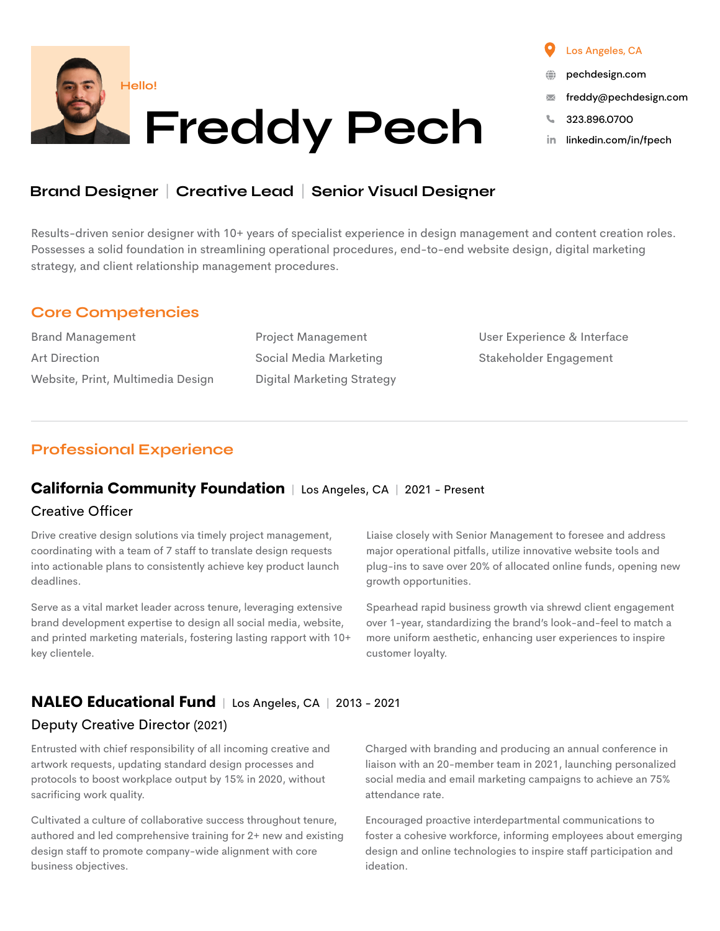

# Brand Designer | Creative Lead | Senior Visual Designer

Results-driven senior designer with 10+ years of specialist experience in design management and content creation roles. Possesses a solid foundation in streamlining operational procedures, end-to-end website design, digital marketing strategy, and client relationship management procedures.

#### Core Competencies

Brand Management Art Direction Website, Print, Multimedia Design Project Management Social Media Marketing Digital Marketing Strategy User Experience & Interface Stakeholder Engagement

### Professional Experience

#### **California Community Foundation** | Los Angeles, CA | 2021 - Present

#### Creative Officer

Drive creative design solutions via timely project management, coordinating with a team of 7 staff to translate design requests into actionable plans to consistently achieve key product launch deadlines.

Serve as a vital market leader across tenure, leveraging extensive brand development expertise to design all social media, website, and printed marketing materials, fostering lasting rapport with 10+ key clientele.

Liaise closely with Senior Management to foresee and address major operational pitfalls, utilize innovative website tools and plug-ins to save over 20% of allocated online funds, opening new growth opportunities.

Spearhead rapid business growth via shrewd client engagement over 1-year, standardizing the brand's look-and-feel to match a more uniform aesthetic, enhancing user experiences to inspire customer loyalty.

### **NALEO Educational Fund** | Los Angeles, CA | 2013 - 2021

#### Deputy Creative Director (2021)

Entrusted with chief responsibility of all incoming creative and artwork requests, updating standard design processes and protocols to boost workplace output by 15% in 2020, without sacrificing work quality.

Cultivated a culture of collaborative success throughout tenure, authored and led comprehensive training for 2+ new and existing design staff to promote company-wide alignment with core business objectives.

Charged with branding and producing an annual conference in liaison with an 20-member team in 2021, launching personalized social media and email marketing campaigns to achieve an 75% attendance rate.

Encouraged proactive interdepartmental communications to foster a cohesive workforce, informing employees about emerging design and online technologies to inspire staff participation and ideation.

#### Los Angeles, CA

- [pechdesign.com](https://pechdesign.com)
- [freddy@pechdesign.com](mailto:freddy%40pechdesign.com?subject=Hi%2C%20Freddy%21)  $\overline{\mathbf{M}}$
- 323.896.0700
- [linkedin.com/in/fpech](https://www.linkedin.com/in/fpech/)